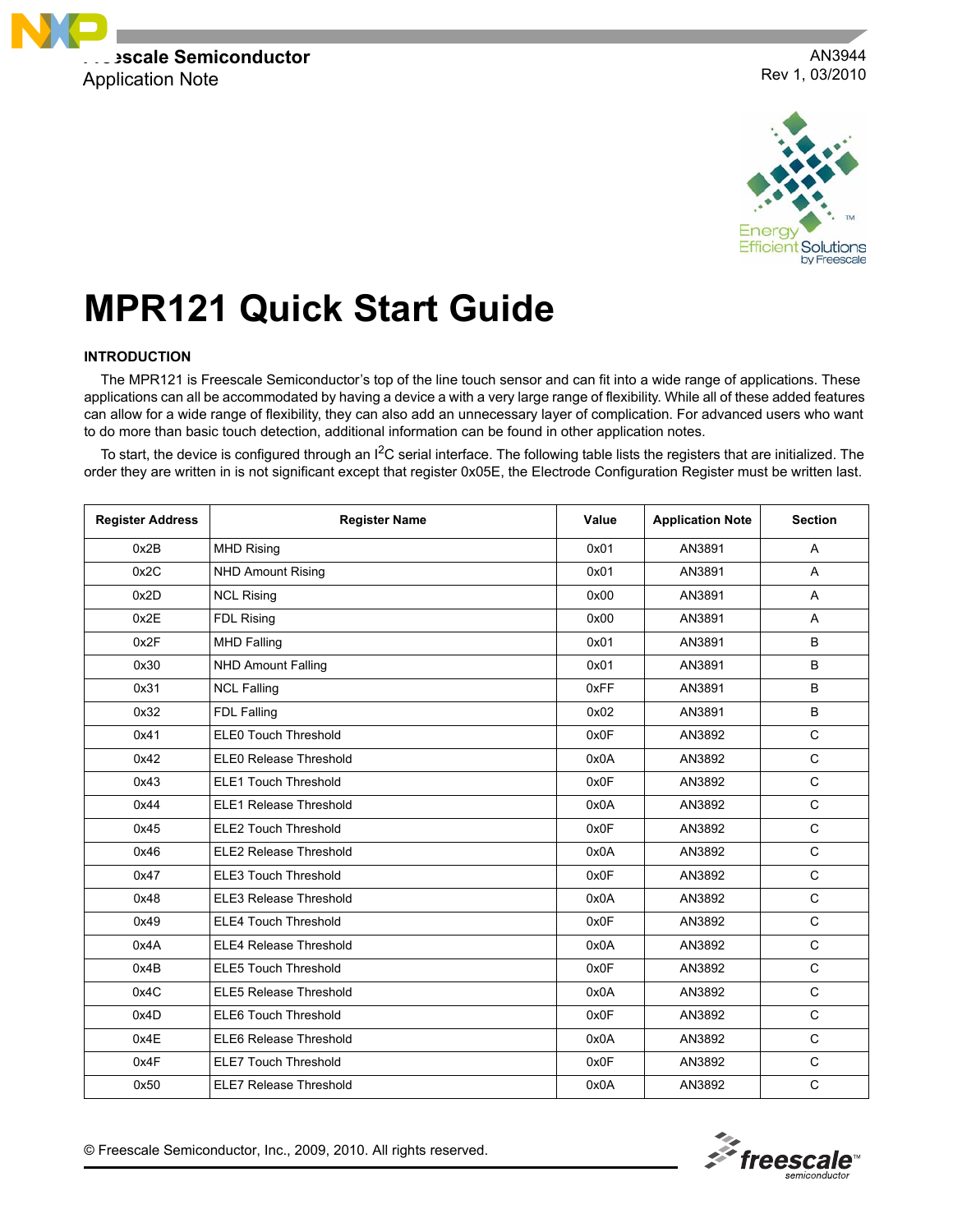

AN3944 Rev 1, 03/2010



# **MPR121 Quick Start Guide**

#### **INTRODUCTION**

The MPR121 is Freescale Semiconductor's top of the line touch sensor and can fit into a wide range of applications. These applications can all be accommodated by having a device a with a very large range of flexibility. While all of these added features can allow for a wide range of flexibility, they can also add an unnecessary layer of complication. For advanced users who want to do more than basic touch detection, additional information can be found in other application notes.

To start, the device is configured through an  $1^2C$  serial interface. The following table lists the registers that are initialized. The order they are written in is not significant except that register 0x05E, the Electrode Configuration Register must be written last.

| <b>Register Address</b> | <b>Register Name</b>          | Value | <b>Application Note</b> | <b>Section</b> |
|-------------------------|-------------------------------|-------|-------------------------|----------------|
| 0x2B                    | <b>MHD Rising</b>             | 0x01  | AN3891                  | $\overline{A}$ |
| 0x2C                    | <b>NHD Amount Rising</b>      | 0x01  | AN3891                  | A              |
| 0x2D                    | <b>NCL Rising</b>             | 0x00  | AN3891                  | $\overline{A}$ |
| 0x2E                    | FDL Rising                    | 0x00  | AN3891                  | A              |
| 0x2F                    | <b>MHD Falling</b>            | 0x01  | AN3891                  | B              |
| 0x30                    | <b>NHD Amount Falling</b>     | 0x01  | AN3891                  | B              |
| 0x31                    | <b>NCL Falling</b>            | 0xFF  | AN3891                  | B              |
| 0x32                    | FDL Falling                   | 0x02  | AN3891                  | B              |
| 0x41                    | <b>ELE0 Touch Threshold</b>   | 0x0F  | AN3892                  | $\mathsf{C}$   |
| 0x42                    | ELE0 Release Threshold        | 0x0A  | AN3892                  | $\mathbf C$    |
| 0x43                    | <b>ELE1 Touch Threshold</b>   | 0x0F  | AN3892                  | $\mathsf C$    |
| 0x44                    | <b>ELE1 Release Threshold</b> | 0x0A  | AN3892                  | $\mathbf C$    |
| 0x45                    | <b>ELE2 Touch Threshold</b>   | 0x0F  | AN3892                  | $\mathbf C$    |
| 0x46                    | ELE2 Release Threshold        | 0x0A  | AN3892                  | $\mathsf{C}$   |
| 0x47                    | <b>ELE3 Touch Threshold</b>   | 0x0F  | AN3892                  | $\mathsf{C}$   |
| 0x48                    | ELE3 Release Threshold        | 0x0A  | AN3892                  | $\mathsf{C}$   |
| 0x49                    | <b>ELE4 Touch Threshold</b>   | 0x0F  | AN3892                  | $\mathsf{C}$   |
| 0x4A                    | <b>ELE4 Release Threshold</b> | 0x0A  | AN3892                  | $\mathsf{C}$   |
| 0x4B                    | <b>ELE5 Touch Threshold</b>   | 0x0F  | AN3892                  | $\mathbf C$    |
| 0x4C                    | <b>ELE5 Release Threshold</b> | 0x0A  | AN3892                  | $\mathbf C$    |
| 0x4D                    | ELE6 Touch Threshold          | 0x0F  | AN3892                  | $\mathsf{C}$   |
| 0x4E                    | <b>ELE6 Release Threshold</b> | 0x0A  | AN3892                  | $\mathsf{C}$   |
| 0x4F                    | <b>ELE7 Touch Threshold</b>   | 0x0F  | AN3892                  | $\mathbf C$    |
| 0x50                    | <b>ELE7 Release Threshold</b> | 0x0A  | AN3892                  | $\mathsf C$    |



© Freescale Semiconductor, Inc., 2009, 2010. All rights reserved.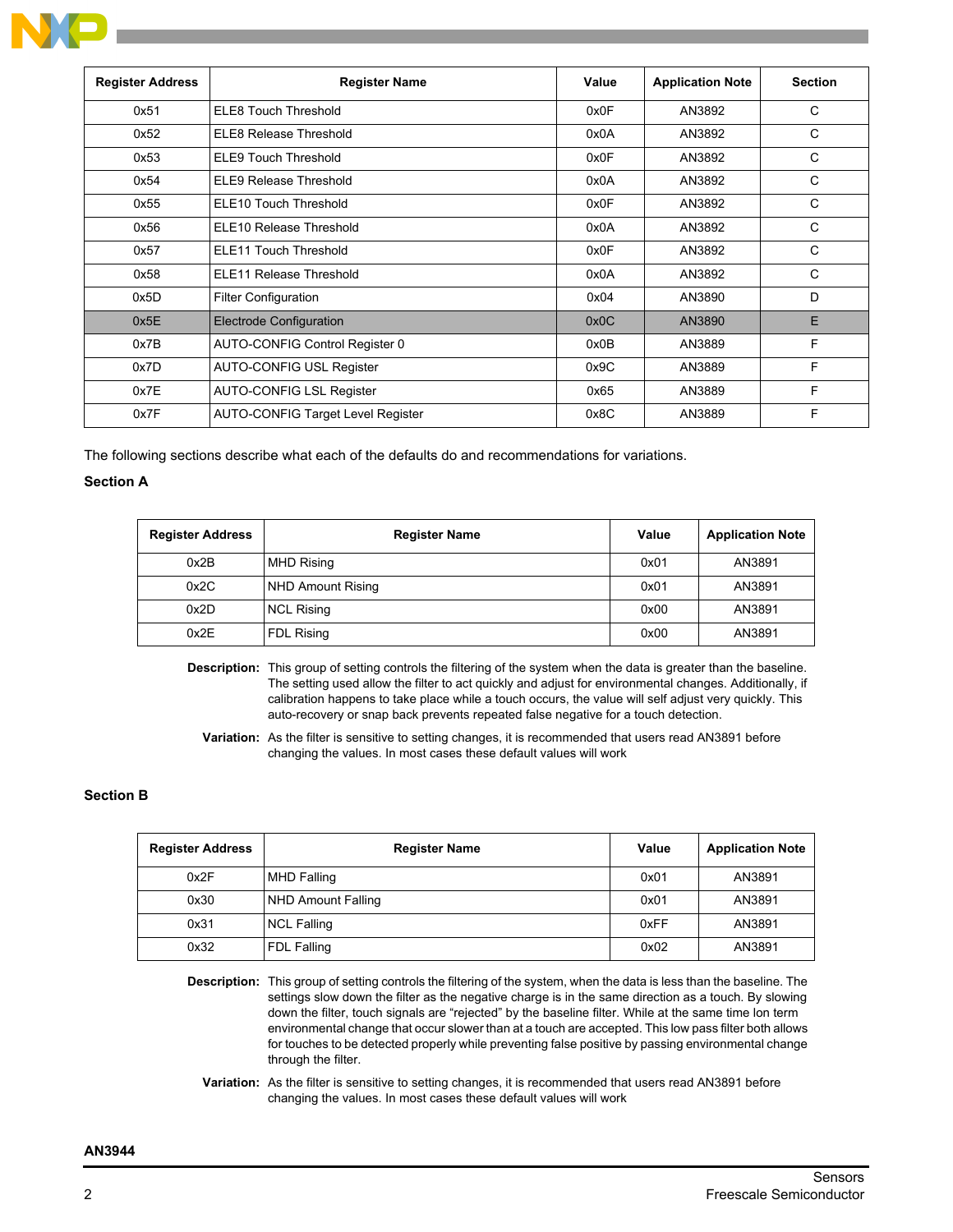

| <b>Register Address</b> | <b>Register Name</b>                     | Value | <b>Application Note</b> | <b>Section</b> |
|-------------------------|------------------------------------------|-------|-------------------------|----------------|
| 0x51                    | <b>ELE8 Touch Threshold</b>              | 0x0F  | AN3892                  | C              |
| 0x52                    | ELE8 Release Threshold                   | 0x0A  | AN3892                  | C              |
| 0x53                    | <b>ELE9 Touch Threshold</b>              | 0x0F  | AN3892                  | C              |
| 0x54                    | <b>ELE9 Release Threshold</b>            | 0x0A  | AN3892                  | C              |
| 0x55                    | ELE10 Touch Threshold                    | 0x0F  | AN3892                  | C              |
| 0x56                    | ELE10 Release Threshold                  | 0x0A  | AN3892                  | C              |
| 0x57                    | <b>ELE11 Touch Threshold</b>             | 0x0F  | AN3892                  | C              |
| 0x58                    | <b>ELE11 Release Threshold</b>           | 0x0A  | AN3892                  | C              |
| 0x5D                    | Filter Configuration                     | 0x04  | AN3890                  | D              |
| 0x5E                    | <b>Electrode Configuration</b>           | 0x0C  | AN3890                  | E              |
| 0x7B                    | AUTO-CONFIG Control Register 0           | 0x0B  | AN3889                  | F              |
| 0x7D                    | AUTO-CONFIG USL Register                 | 0x9C  | AN3889                  | F              |
| 0x7E                    | AUTO-CONFIG LSL Register                 | 0x65  | AN3889                  | F              |
| 0x7F                    | <b>AUTO-CONFIG Target Level Register</b> | 0x8C  | AN3889                  | F              |

The following sections describe what each of the defaults do and recommendations for variations.

### **Section A**

| <b>Register Address</b> | <b>Register Name</b> | Value | <b>Application Note</b> |
|-------------------------|----------------------|-------|-------------------------|
| 0x2B                    | <b>MHD Rising</b>    | 0x01  | AN3891                  |
| 0x2C                    | NHD Amount Rising    | 0x01  | AN3891                  |
| 0x2D                    | <b>NCL Rising</b>    | 0x00  | AN3891                  |
| 0x2E                    | FDL Rising           | 0x00  | AN3891                  |

**Description:** This group of setting controls the filtering of the system when the data is greater than the baseline. The setting used allow the filter to act quickly and adjust for environmental changes. Additionally, if calibration happens to take place while a touch occurs, the value will self adjust very quickly. This auto-recovery or snap back prevents repeated false negative for a touch detection.

**Variation:** As the filter is sensitive to setting changes, it is recommended that users read AN3891 before changing the values. In most cases these default values will work

# **Section B**

| <b>Register Address</b> | <b>Register Name</b> | Value | <b>Application Note</b> |
|-------------------------|----------------------|-------|-------------------------|
| 0x2F                    | <b>MHD Falling</b>   | 0x01  | AN3891                  |
| 0x30                    | NHD Amount Falling   | 0x01  | AN3891                  |
| 0x31                    | <b>NCL Falling</b>   | 0xFF  | AN3891                  |
| 0x32                    | FDL Falling          | 0x02  | AN3891                  |

**Description:** This group of setting controls the filtering of the system, when the data is less than the baseline. The settings slow down the filter as the negative charge is in the same direction as a touch. By slowing down the filter, touch signals are "rejected" by the baseline filter. While at the same time lon term environmental change that occur slower than at a touch are accepted. This low pass filter both allows for touches to be detected properly while preventing false positive by passing environmental change through the filter.

**Variation:** As the filter is sensitive to setting changes, it is recommended that users read AN3891 before changing the values. In most cases these default values will work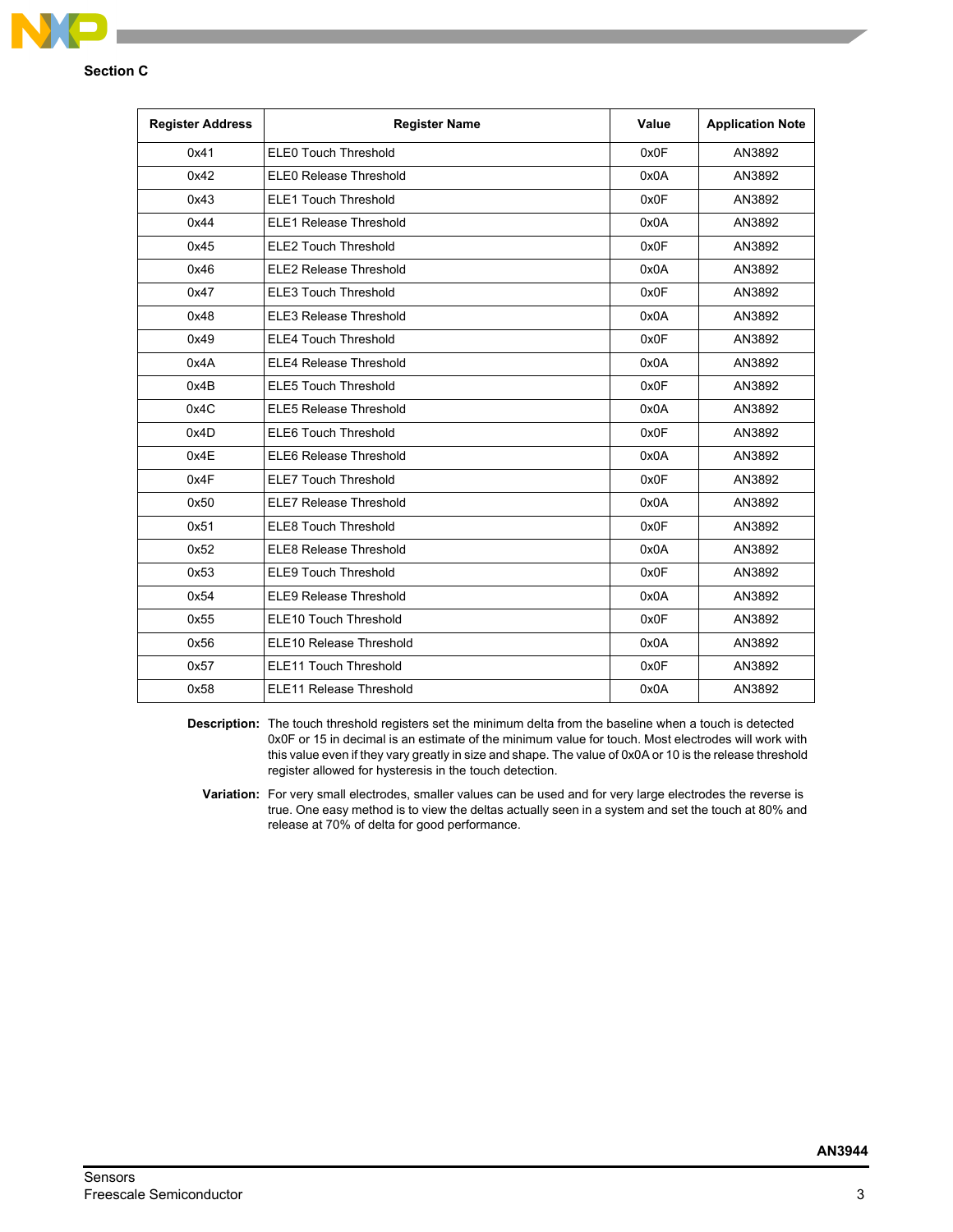

### **Section C**

| <b>Register Address</b> | <b>Register Name</b>          | Value | <b>Application Note</b> |
|-------------------------|-------------------------------|-------|-------------------------|
| 0x41                    | <b>ELEO Touch Threshold</b>   | 0x0F  | AN3892                  |
| 0x42                    | ELE0 Release Threshold        | 0x0A  | AN3892                  |
| 0x43                    | <b>ELE1 Touch Threshold</b>   | 0x0F  | AN3892                  |
| 0x44                    | <b>ELE1 Release Threshold</b> | 0x0A  | AN3892                  |
| 0x45                    | <b>ELE2 Touch Threshold</b>   | 0x0F  | AN3892                  |
| 0x46                    | <b>ELE2 Release Threshold</b> | 0x0A  | AN3892                  |
| 0x47                    | <b>ELE3 Touch Threshold</b>   | 0x0F  | AN3892                  |
| 0x48                    | <b>ELE3 Release Threshold</b> | 0x0A  | AN3892                  |
| 0x49                    | <b>ELE4 Touch Threshold</b>   | 0x0F  | AN3892                  |
| 0x4A                    | <b>ELE4 Release Threshold</b> | 0x0A  | AN3892                  |
| 0x4B                    | <b>ELE5 Touch Threshold</b>   | 0x0F  | AN3892                  |
| 0x4C                    | <b>ELE5 Release Threshold</b> | 0x0A  | AN3892                  |
| 0x4D                    | <b>ELE6 Touch Threshold</b>   | 0x0F  | AN3892                  |
| 0x4E                    | <b>ELE6 Release Threshold</b> | 0x0A  | AN3892                  |
| 0x4F                    | <b>ELE7 Touch Threshold</b>   | 0x0F  | AN3892                  |
| 0x50                    | <b>ELE7 Release Threshold</b> | 0x0A  | AN3892                  |
| 0x51                    | <b>ELE8 Touch Threshold</b>   | 0x0F  | AN3892                  |
| 0x52                    | <b>ELE8 Release Threshold</b> | 0x0A  | AN3892                  |
| 0x53                    | <b>ELE9 Touch Threshold</b>   | 0x0F  | AN3892                  |
| 0x54                    | <b>ELE9 Release Threshold</b> | 0x0A  | AN3892                  |
| 0x55                    | ELE10 Touch Threshold         | 0x0F  | AN3892                  |
| 0x56                    | ELE10 Release Threshold       | 0x0A  | AN3892                  |
| 0x57                    | <b>ELE11 Touch Threshold</b>  | 0x0F  | AN3892                  |
| 0x58                    | ELE11 Release Threshold       | 0x0A  | AN3892                  |

**Description:** The touch threshold registers set the minimum delta from the baseline when a touch is detected 0x0F or 15 in decimal is an estimate of the minimum value for touch. Most electrodes will work with this value even if they vary greatly in size and shape. The value of 0x0A or 10 is the release threshold register allowed for hysteresis in the touch detection.

**Variation:** For very small electrodes, smaller values can be used and for very large electrodes the reverse is true. One easy method is to view the deltas actually seen in a system and set the touch at 80% and release at 70% of delta for good performance.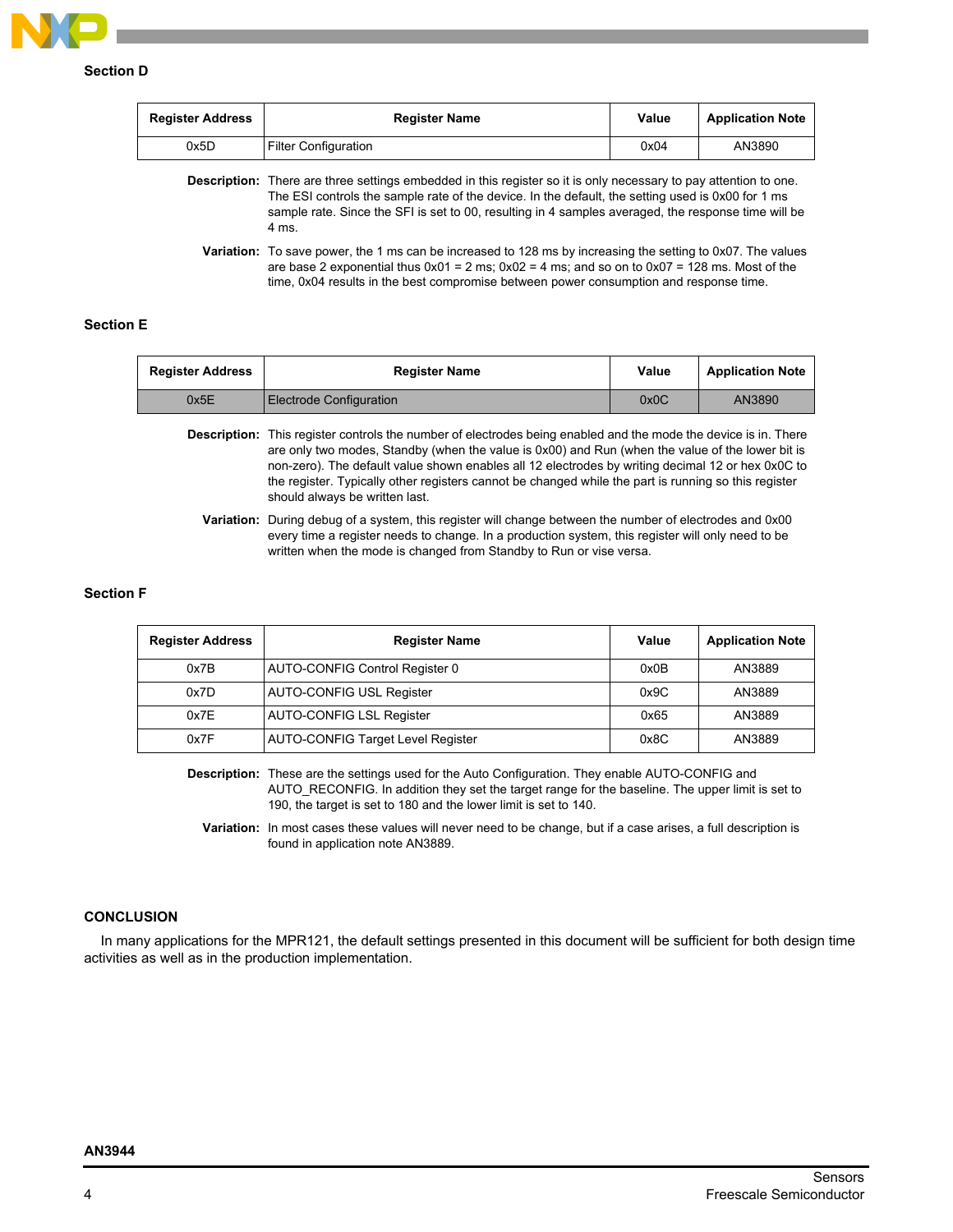

| <b>Register Address</b>                                                                                                                                                   | <b>Register Name</b>        | Value | <b>Application Note</b> |
|---------------------------------------------------------------------------------------------------------------------------------------------------------------------------|-----------------------------|-------|-------------------------|
| 0x5D                                                                                                                                                                      | <b>Filter Configuration</b> | 0x04  | AN3890                  |
| <b>Description:</b> There are three settings embedded in this register so it is only necessary to pay attention to one.<br>TUTOLI III III III III III III III II II AAAFI |                             |       |                         |

The ESI controls the sample rate of the device. In the default, the setting used is 0x00 for 1 ms sample rate. Since the SFI is set to 00, resulting in 4 samples averaged, the response time will be 4 ms. **Variation:** To save power, the 1 ms can be increased to 128 ms by increasing the setting to 0x07. The values

are base 2 exponential thus  $0x01 = 2$  ms;  $0x02 = 4$  ms; and so on to  $0x07 = 128$  ms. Most of the time, 0x04 results in the best compromise between power consumption and response time.

# **Section E**

| <b>Register Address</b> | <b>Register Name</b>    | Value | <b>Application Note</b> |
|-------------------------|-------------------------|-------|-------------------------|
| 0x5E                    | Electrode Configuration | 0x0C  | AN3890                  |

**Description:** This register controls the number of electrodes being enabled and the mode the device is in. There are only two modes, Standby (when the value is 0x00) and Run (when the value of the lower bit is non-zero). The default value shown enables all 12 electrodes by writing decimal 12 or hex 0x0C to the register. Typically other registers cannot be changed while the part is running so this register should always be written last.

**Variation:** During debug of a system, this register will change between the number of electrodes and 0x00 every time a register needs to change. In a production system, this register will only need to be written when the mode is changed from Standby to Run or vise versa.

#### **Section F**

| <b>Register Address</b> | <b>Register Name</b>                     | Value | <b>Application Note</b> |
|-------------------------|------------------------------------------|-------|-------------------------|
| 0x7B                    | AUTO-CONFIG Control Register 0           | 0x0B  | AN3889                  |
| 0x7D                    | <b>AUTO-CONFIG USL Register</b>          | 0x9C  | AN3889                  |
| 0x7E                    | <b>AUTO-CONFIG LSL Register</b>          | 0x65  | AN3889                  |
| 0x7F                    | <b>AUTO-CONFIG Target Level Register</b> | 0x8C  | AN3889                  |

**Description:** These are the settings used for the Auto Configuration. They enable AUTO-CONFIG and AUTO\_RECONFIG. In addition they set the target range for the baseline. The upper limit is set to 190, the target is set to 180 and the lower limit is set to 140.

**Variation:** In most cases these values will never need to be change, but if a case arises, a full description is found in application note AN3889.

# **CONCLUSION**

In many applications for the MPR121, the default settings presented in this document will be sufficient for both design time activities as well as in the production implementation.

#### **AN3944**